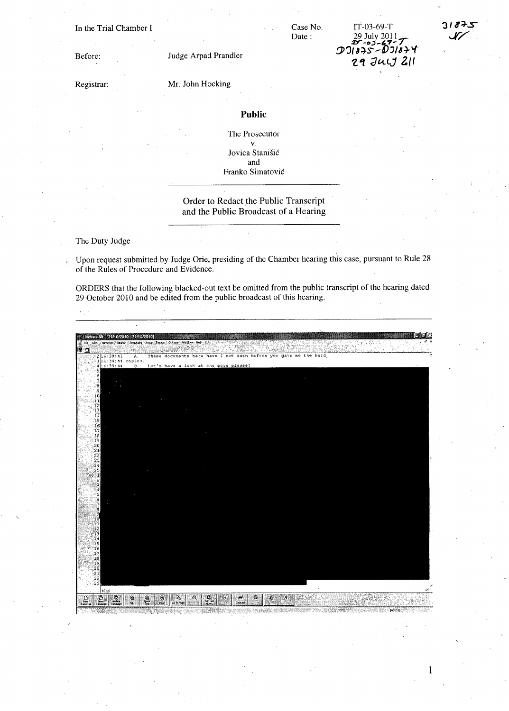In the Trial Chamber I

Case No. Date:

rT-03-69-T 29 July 2011 **:z::r** *-t!l:;\_&"- /*  **D>'JI** ~::}~-- D,)18~ I.{'  $29$  July 211



1

Registrar:

Before:

Mr. John Hocking

Judge Arpad Prandler

## **Public**

The Prosecutor v. Jovica Stanisic and Franko Simatovic

## Order to Redact the Public Transcript and the Public Broadcast of a Hearing

The Duty Judge

, Upon request submitted by Judge Orie, presiding of the Chamber hearing this case, pursuant to Rule 28 of the Rules of Procedure and Evidence.

ORDERS that the following blacked-out text be omitted from the public transcript of the hearing dated 29 October 2010 and be edited from the public broadcast of this hearing. .